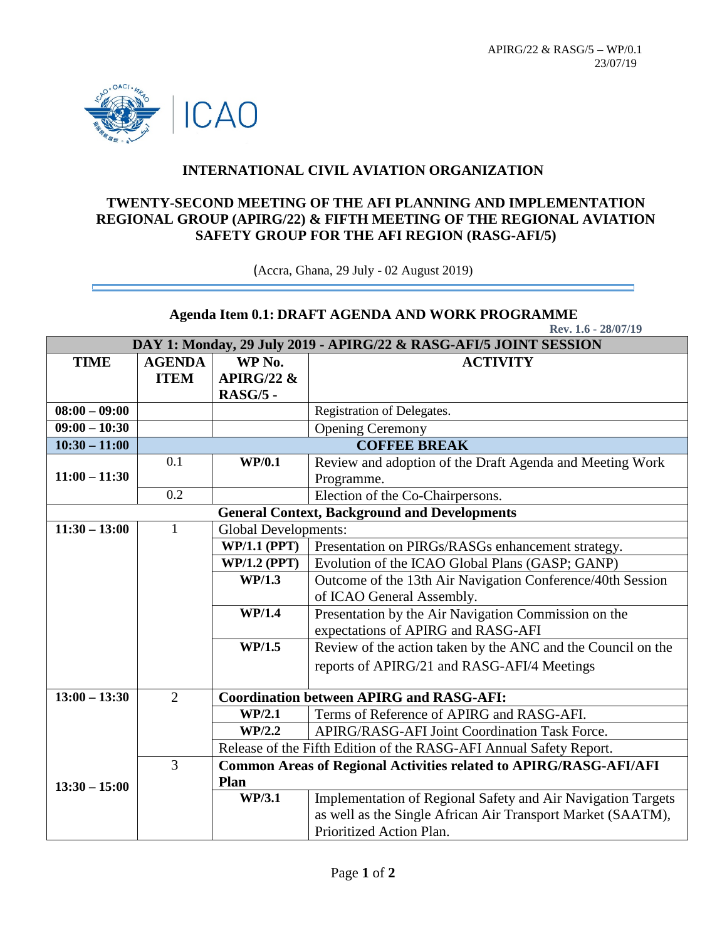

## **INTERNATIONAL CIVIL AVIATION ORGANIZATION**

## **TWENTY-SECOND MEETING OF THE AFI PLANNING AND IMPLEMENTATION REGIONAL GROUP (APIRG/22) & FIFTH MEETING OF THE REGIONAL AVIATION SAFETY GROUP FOR THE AFI REGION (RASG-AFI/5)**

(Accra, Ghana, 29 July - 02 August 2019)

## **Agenda Item 0.1: DRAFT AGENDA AND WORK PROGRAMME**

 **Rev. 1.6 - 28/07/19**

**Service Control** 

| DAY 1: Monday, 29 July 2019 - APIRG/22 & RASG-AFI/5 JOINT SESSION |                     |                                                                   |                                                                    |  |
|-------------------------------------------------------------------|---------------------|-------------------------------------------------------------------|--------------------------------------------------------------------|--|
| <b>TIME</b>                                                       | <b>AGENDA</b>       | WP No.                                                            | <b>ACTIVITY</b>                                                    |  |
|                                                                   | <b>ITEM</b>         | APIRG/22 $&$                                                      |                                                                    |  |
|                                                                   |                     | <b>RASG/5 -</b>                                                   |                                                                    |  |
| $08:00 - 09:00$                                                   |                     |                                                                   | Registration of Delegates.                                         |  |
| $09:00 - 10:30$                                                   |                     |                                                                   | <b>Opening Ceremony</b>                                            |  |
| $10:30 - 11:00$                                                   | <b>COFFEE BREAK</b> |                                                                   |                                                                    |  |
|                                                                   | 0.1                 | <b>WP/0.1</b>                                                     | Review and adoption of the Draft Agenda and Meeting Work           |  |
| $11:00 - 11:30$                                                   |                     |                                                                   | Programme.                                                         |  |
|                                                                   | 0.2                 |                                                                   | Election of the Co-Chairpersons.                                   |  |
| <b>General Context, Background and Developments</b>               |                     |                                                                   |                                                                    |  |
| $11:30 - 13:00$                                                   | 1                   | <b>Global Developments:</b>                                       |                                                                    |  |
|                                                                   |                     | <b>WP/1.1 (PPT)</b>                                               | Presentation on PIRGs/RASGs enhancement strategy.                  |  |
|                                                                   |                     | <b>WP/1.2 (PPT)</b>                                               | Evolution of the ICAO Global Plans (GASP; GANP)                    |  |
|                                                                   |                     | WP/1.3                                                            | Outcome of the 13th Air Navigation Conference/40th Session         |  |
|                                                                   |                     |                                                                   | of ICAO General Assembly.                                          |  |
|                                                                   |                     | WP/1.4                                                            | Presentation by the Air Navigation Commission on the               |  |
|                                                                   |                     |                                                                   | expectations of APIRG and RASG-AFI                                 |  |
|                                                                   |                     | WP/1.5                                                            | Review of the action taken by the ANC and the Council on the       |  |
|                                                                   |                     |                                                                   | reports of APIRG/21 and RASG-AFI/4 Meetings                        |  |
|                                                                   |                     |                                                                   |                                                                    |  |
| $13:00 - 13:30$                                                   | $\overline{2}$      | <b>Coordination between APIRG and RASG-AFI:</b>                   |                                                                    |  |
|                                                                   |                     | WP/2.1                                                            | Terms of Reference of APIRG and RASG-AFI.                          |  |
|                                                                   |                     | WP/2.2                                                            | APIRG/RASG-AFI Joint Coordination Task Force.                      |  |
|                                                                   |                     |                                                                   | Release of the Fifth Edition of the RASG-AFI Annual Safety Report. |  |
|                                                                   | 3                   | Common Areas of Regional Activities related to APIRG/RASG-AFI/AFI |                                                                    |  |
| $13:30 - 15:00$                                                   |                     | Plan                                                              |                                                                    |  |
|                                                                   |                     | WP/3.1                                                            | Implementation of Regional Safety and Air Navigation Targets       |  |
|                                                                   |                     |                                                                   | as well as the Single African Air Transport Market (SAATM),        |  |
|                                                                   |                     |                                                                   | Prioritized Action Plan.                                           |  |